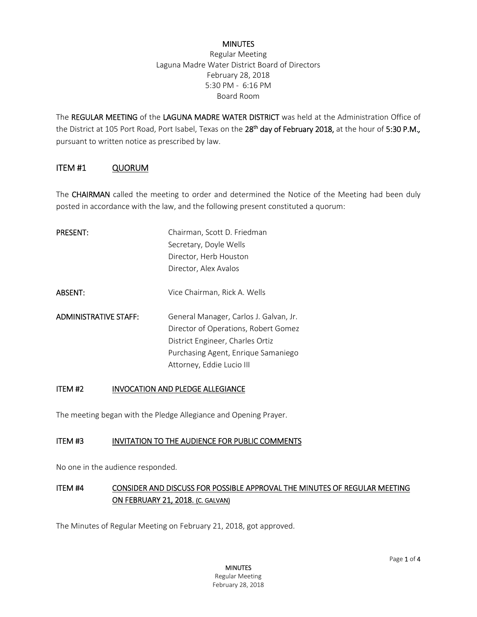#### **MINUTES**

Regular Meeting Laguna Madre Water District Board of Directors February 28, 2018 5:30 PM - 6:16 PM Board Room

The REGULAR MEETING of the LAGUNA MADRE WATER DISTRICT was held at the Administration Office of the District at 105 Port Road, Port Isabel, Texas on the 28th day of February 2018, at the hour of 5:30 P.M.*,* pursuant to written notice as prescribed by law.

#### ITEM #1 QUORUM

The **CHAIRMAN** called the meeting to order and determined the Notice of the Meeting had been duly posted in accordance with the law, and the following present constituted a quorum:

| <b>PRESENT:</b>              | Chairman, Scott D. Friedman            |
|------------------------------|----------------------------------------|
|                              | Secretary, Doyle Wells                 |
|                              | Director, Herb Houston                 |
|                              | Director, Alex Avalos                  |
|                              |                                        |
| <b>ABSENT:</b>               | Vice Chairman, Rick A. Wells           |
|                              |                                        |
| <b>ADMINISTRATIVE STAFF:</b> | General Manager, Carlos J. Galvan, Jr. |
|                              | Director of Operations, Robert Gomez   |
|                              | District Engineer, Charles Ortiz       |
|                              | Purchasing Agent, Enrique Samaniego    |
|                              | Attorney, Eddie Lucio III              |

#### ITEM #2 INVOCATION AND PLEDGE ALLEGIANCE

The meeting began with the Pledge Allegiance and Opening Prayer.

#### ITEM #3 INVITATION TO THE AUDIENCE FOR PUBLIC COMMENTS

No one in the audience responded.

## ITEM #4 CONSIDER AND DISCUSS FOR POSSIBLE APPROVAL THE MINUTES OF REGULAR MEETING ON FEBRUARY 21, 2018. (C. GALVAN)

The Minutes of Regular Meeting on February 21, 2018, got approved.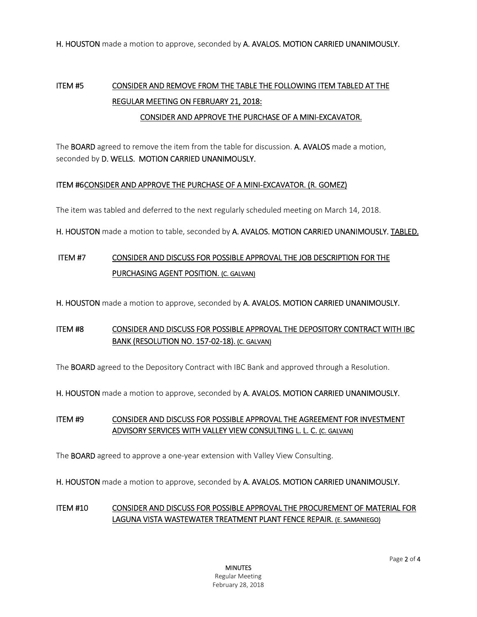H. HOUSTON made a motion to approve, seconded by A. AVALOS. MOTION CARRIED UNANIMOUSLY.

# ITEM #5 CONSIDER AND REMOVE FROM THE TABLE THE FOLLOWING ITEM TABLED AT THE REGULAR MEETING ON FEBRUARY 21, 2018:

#### CONSIDER AND APPROVE THE PURCHASE OF A MINI-EXCAVATOR.

The BOARD agreed to remove the item from the table for discussion. A. AVALOS made a motion, seconded by D. WELLS. MOTION CARRIED UNANIMOUSLY.

#### ITEM #6 CONSIDER AND APPROVE THE PURCHASE OF A MINI-EXCAVATOR. (R. GOMEZ)

The item was tabled and deferred to the next regularly scheduled meeting on March 14, 2018.

H. HOUSTON made a motion to table, seconded by A. AVALOS. MOTION CARRIED UNANIMOUSLY. TABLED.

# ITEM #7 CONSIDER AND DISCUSS FOR POSSIBLE APPROVAL THE JOB DESCRIPTION FOR THE PURCHASING AGENT POSITION. (C. GALVAN)

H. HOUSTON made a motion to approve, seconded by A. AVALOS. MOTION CARRIED UNANIMOUSLY.

## ITEM #8 CONSIDER AND DISCUSS FOR POSSIBLE APPROVAL THE DEPOSITORY CONTRACT WITH IBC BANK (RESOLUTION NO. 157-02-18). (C. GALVAN)

The **BOARD** agreed to the Depository Contract with IBC Bank and approved through a Resolution.

H. HOUSTON made a motion to approve, seconded by A. AVALOS. MOTION CARRIED UNANIMOUSLY.

## ITEM #9 CONSIDER AND DISCUSS FOR POSSIBLE APPROVAL THE AGREEMENT FOR INVESTMENT ADVISORY SERVICES WITH VALLEY VIEW CONSULTING L. L. C. (C. GALVAN)

The BOARD agreed to approve a one-year extension with Valley View Consulting.

H. HOUSTON made a motion to approve, seconded by A. AVALOS. MOTION CARRIED UNANIMOUSLY.

## ITEM #10 CONSIDER AND DISCUSS FOR POSSIBLE APPROVAL THE PROCUREMENT OF MATERIAL FOR LAGUNA VISTA WASTEWATER TREATMENT PLANT FENCE REPAIR. (E. SAMANIEGO)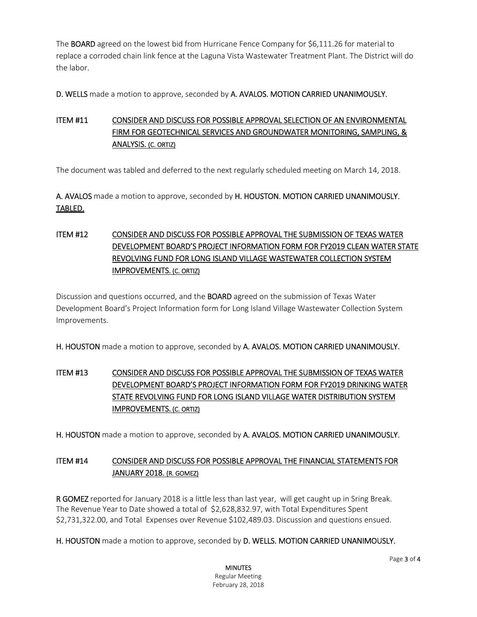The BOARD agreed on the lowest bid from Hurricane Fence Company for \$6,111.26 for material to replace a corroded chain link fence at the Laguna Vista Wastewater Treatment Plant. The District will do the labor.

D. WELLS made a motion to approve, seconded by A. AVALOS. MOTION CARRIED UNANIMOUSLY.

## ITEM #11 CONSIDER AND DISCUSS FOR POSSIBLE APPROVAL SELECTION OF AN ENVIRONMENTAL FIRM FOR GEOTECHNICAL SERVICES AND GROUNDWATER MONITORING, SAMPLING, & ANALYSIS. (C. ORTIZ)

The document was tabled and deferred to the next regularly scheduled meeting on March 14, 2018.

A. AVALOS made a motion to approve, seconded by H. HOUSTON. MOTION CARRIED UNANIMOUSLY. TABLED.

## ITEM #12 CONSIDER AND DISCUSS FOR POSSIBLE APPROVAL THE SUBMISSION OF TEXAS WATER DEVELOPMENT BOARD'S PROJECT INFORMATION FORM FOR FY2019 CLEAN WATER STATE REVOLVING FUND FOR LONG ISLAND VILLAGE WASTEWATER COLLECTION SYSTEM IMPROVEMENTS. (C. ORTIZ)

Discussion and questions occurred, and the BOARD agreed on the submission of Texas Water Development Board's Project Information form for Long Island Village Wastewater Collection System Improvements.

H. HOUSTON made a motion to approve, seconded by A. AVALOS. MOTION CARRIED UNANIMOUSLY.

## ITEM #13 CONSIDER AND DISCUSS FOR POSSIBLE APPROVAL THE SUBMISSION OF TEXAS WATER DEVELOPMENT BOARD'S PROJECT INFORMATION FORM FOR FY2019 DRINKING WATER STATE REVOLVING FUND FOR LONG ISLAND VILLAGE WATER DISTRIBUTION SYSTEM IMPROVEMENTS. (C. ORTIZ)

H. HOUSTON made a motion to approve, seconded by A. AVALOS. MOTION CARRIED UNANIMOUSLY.

## ITEM #14 CONSIDER AND DISCUSS FOR POSSIBLE APPROVAL THE FINANCIAL STATEMENTS FOR JANUARY 2018. (R. GOMEZ)

R GOMEZ reported for January 2018 is a little less than last year, will get caught up in Sring Break. The Revenue Year to Date showed a total of \$2,628,832.97, with Total Expenditures Spent \$2,731,322.00, and Total Expenses over Revenue \$102,489.03. Discussion and questions ensued.

H. HOUSTON made a motion to approve, seconded by D. WELLS. MOTION CARRIED UNANIMOUSLY.

**MINUTES** Regular Meeting February 28, 2018